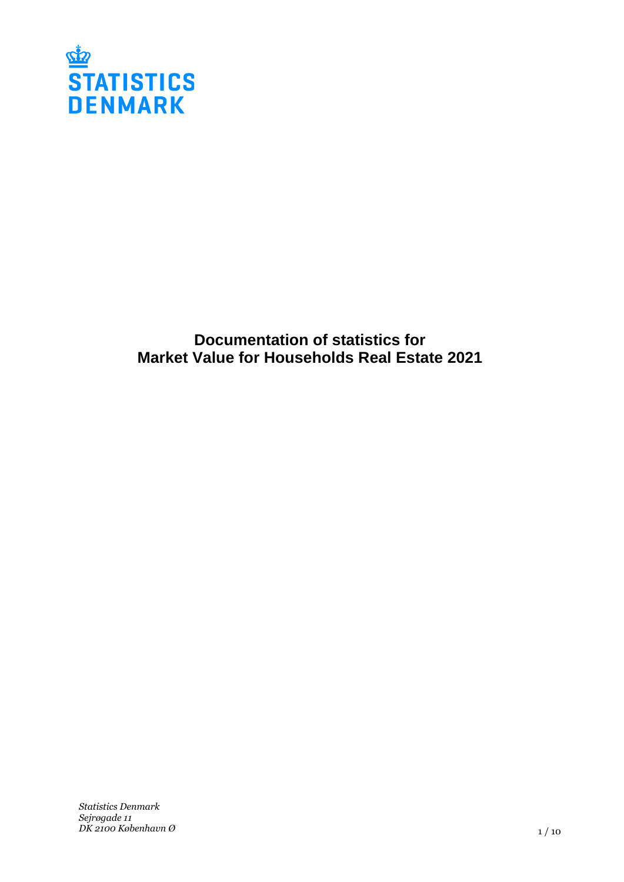

# **Documentation of statistics for Market Value for Households Real Estate 2021**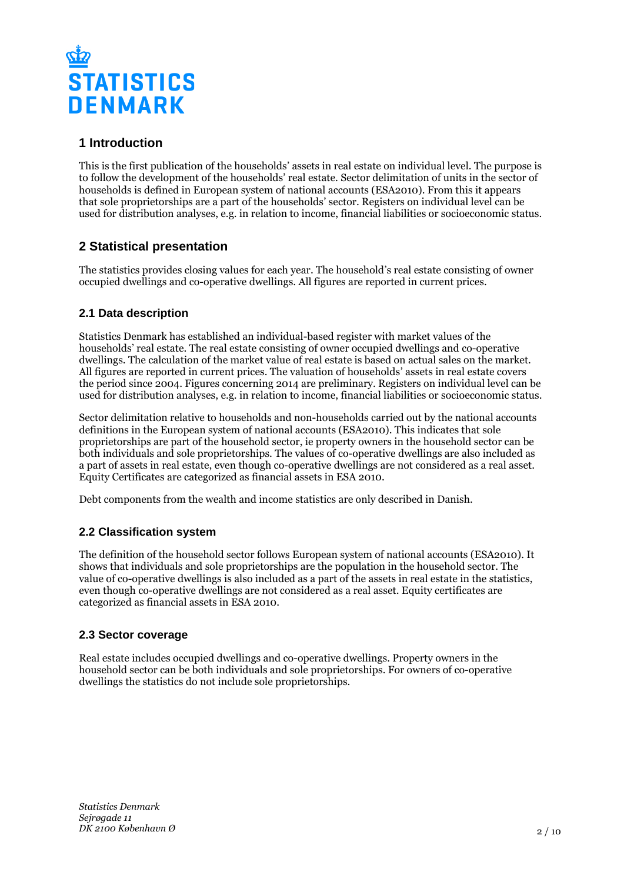

## **1 Introduction**

This is the first publication of the households' assets in real estate on individual level. The purpose is to follow the development of the households' real estate. Sector delimitation of units in the sector of households is defined in European system of national accounts (ESA2010). From this it appears that sole proprietorships are a part of the households' sector. Registers on individual level can be used for distribution analyses, e.g. in relation to income, financial liabilities or socioeconomic status.

## **2 Statistical presentation**

The statistics provides closing values for each year. The household's real estate consisting of owner occupied dwellings and co-operative dwellings. All figures are reported in current prices.

## **2.1 Data description**

Statistics Denmark has established an individual-based register with market values of the households' real estate. The real estate consisting of owner occupied dwellings and co-operative dwellings. The calculation of the market value of real estate is based on actual sales on the market. All figures are reported in current prices. The valuation of households' assets in real estate covers the period since 2004. Figures concerning 2014 are preliminary. Registers on individual level can be used for distribution analyses, e.g. in relation to income, financial liabilities or socioeconomic status.

Sector delimitation relative to households and non-households carried out by the national accounts definitions in the European system of national accounts (ESA2010). This indicates that sole proprietorships are part of the household sector, ie property owners in the household sector can be both individuals and sole proprietorships. The values of co-operative dwellings are also included as a part of assets in real estate, even though co-operative dwellings are not considered as a real asset. Equity Certificates are categorized as financial assets in ESA 2010.

Debt components from the wealth and income statistics are only described in Danish.

## **2.2 Classification system**

The definition of the household sector follows European system of national accounts (ESA2010). It shows that individuals and sole proprietorships are the population in the household sector. The value of co-operative dwellings is also included as a part of the assets in real estate in the statistics, even though co-operative dwellings are not considered as a real asset. Equity certificates are categorized as financial assets in ESA 2010.

## **2.3 Sector coverage**

Real estate includes occupied dwellings and co-operative dwellings. Property owners in the household sector can be both individuals and sole proprietorships. For owners of co-operative dwellings the statistics do not include sole proprietorships.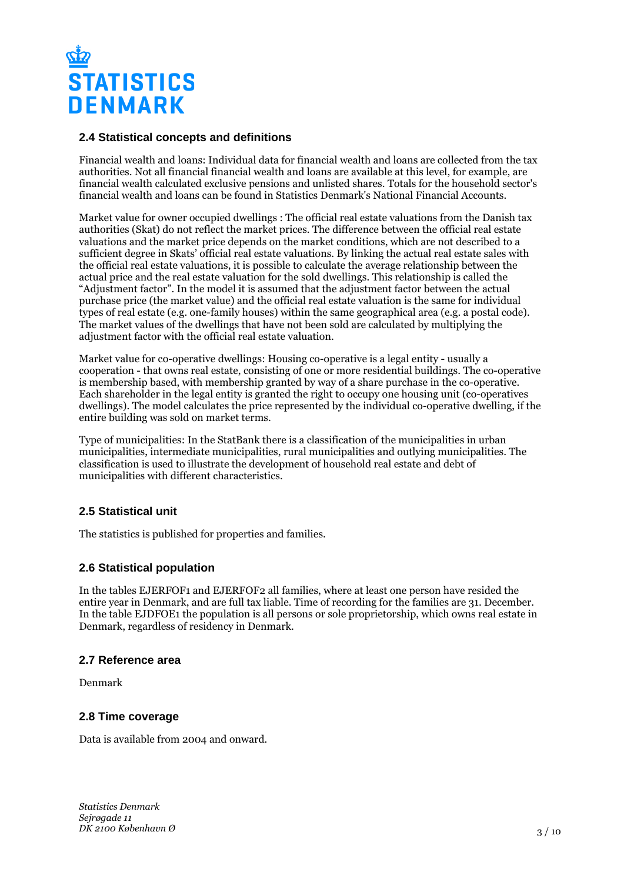

#### **2.4 Statistical concepts and definitions**

Financial wealth and loans: Individual data for financial wealth and loans are collected from the tax authorities. Not all financial financial wealth and loans are available at this level, for example, are financial wealth calculated exclusive pensions and unlisted shares. Totals for the household sector's financial wealth and loans can be found in Statistics Denmark's National Financial Accounts.

Market value for owner occupied dwellings : The official real estate valuations from the Danish tax authorities (Skat) do not reflect the market prices. The difference between the official real estate valuations and the market price depends on the market conditions, which are not described to a sufficient degree in Skats' official real estate valuations. By linking the actual real estate sales with the official real estate valuations, it is possible to calculate the average relationship between the actual price and the real estate valuation for the sold dwellings. This relationship is called the "Adjustment factor". In the model it is assumed that the adjustment factor between the actual purchase price (the market value) and the official real estate valuation is the same for individual types of real estate (e.g. one-family houses) within the same geographical area (e.g. a postal code). The market values of the dwellings that have not been sold are calculated by multiplying the adjustment factor with the official real estate valuation.

Market value for co-operative dwellings: Housing co-operative is a legal entity - usually a cooperation - that owns real estate, consisting of one or more residential buildings. The co-operative is membership based, with membership granted by way of a share purchase in the co-operative. Each shareholder in the legal entity is granted the right to occupy one housing unit (co-operatives dwellings). The model calculates the price represented by the individual co-operative dwelling, if the entire building was sold on market terms.

Type of municipalities: In the StatBank there is a classification of the municipalities in urban municipalities, intermediate municipalities, rural municipalities and outlying municipalities. The classification is used to illustrate the development of household real estate and debt of municipalities with different characteristics.

## **2.5 Statistical unit**

The statistics is published for properties and families.

#### **2.6 Statistical population**

In the tables EJERFOF1 and EJERFOF2 all families, where at least one person have resided the entire year in Denmark, and are full tax liable. Time of recording for the families are 31. December. In the table EJDFOE1 the population is all persons or sole proprietorship, which owns real estate in Denmark, regardless of residency in Denmark.

#### **2.7 Reference area**

Denmark

#### **2.8 Time coverage**

Data is available from 2004 and onward.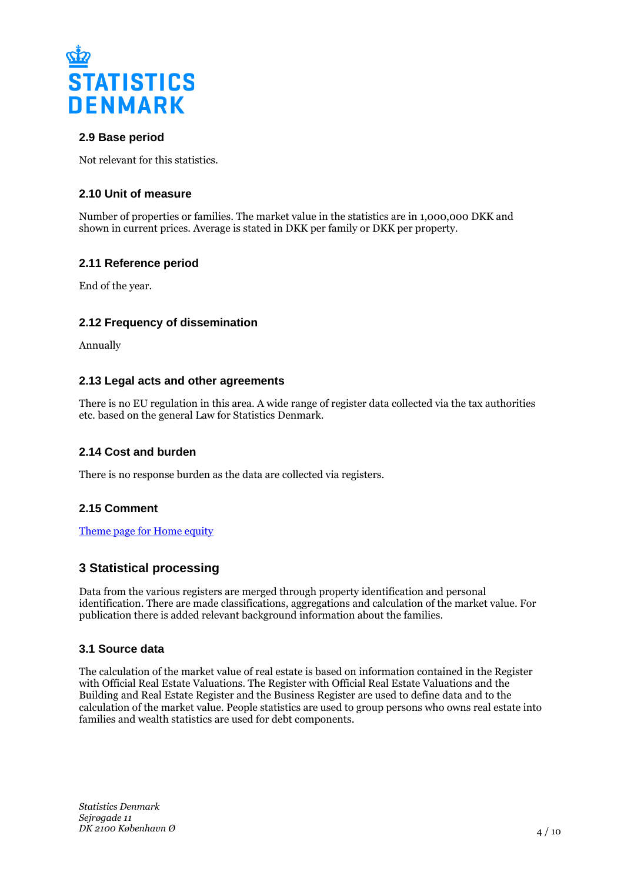

## **2.9 Base period**

Not relevant for this statistics.

## **2.10 Unit of measure**

Number of properties or families. The market value in the statistics are in 1,000,000 DKK and shown in current prices. Average is stated in DKK per family or DKK per property.

## **2.11 Reference period**

End of the year.

## **2.12 Frequency of dissemination**

Annually

#### **2.13 Legal acts and other agreements**

There is no EU regulation in this area. A wide range of register data collected via the tax authorities etc. based on the general Law for Statistics Denmark.

## **2.14 Cost and burden**

There is no response burden as the data are collected via registers.

## **2.15 Comment**

[Theme page for Home equity](https://www.dst.dk/en/Statistik/emner/arbejde-og-indkomst/formue/husholdningernes-formue-i-fast-ejendom)

## **3 Statistical processing**

Data from the various registers are merged through property identification and personal identification. There are made classifications, aggregations and calculation of the market value. For publication there is added relevant background information about the families.

## **3.1 Source data**

The calculation of the market value of real estate is based on information contained in the Register with Official Real Estate Valuations. The Register with Official Real Estate Valuations and the Building and Real Estate Register and the Business Register are used to define data and to the calculation of the market value. People statistics are used to group persons who owns real estate into families and wealth statistics are used for debt components.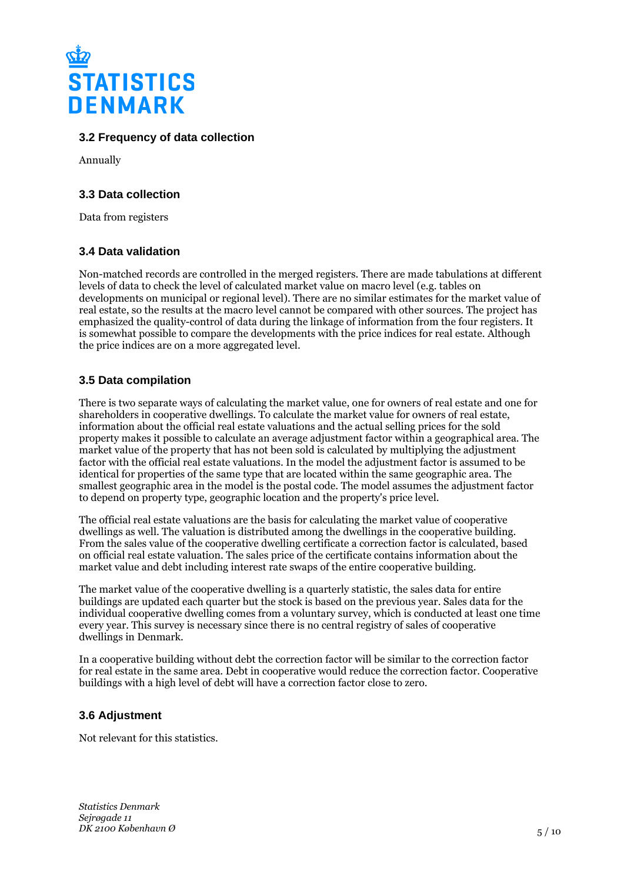

## **3.2 Frequency of data collection**

Annually

## **3.3 Data collection**

Data from registers

## **3.4 Data validation**

Non-matched records are controlled in the merged registers. There are made tabulations at different levels of data to check the level of calculated market value on macro level (e.g. tables on developments on municipal or regional level). There are no similar estimates for the market value of real estate, so the results at the macro level cannot be compared with other sources. The project has emphasized the quality-control of data during the linkage of information from the four registers. It is somewhat possible to compare the developments with the price indices for real estate. Although the price indices are on a more aggregated level.

## **3.5 Data compilation**

There is two separate ways of calculating the market value, one for owners of real estate and one for shareholders in cooperative dwellings. To calculate the market value for owners of real estate, information about the official real estate valuations and the actual selling prices for the sold property makes it possible to calculate an average adjustment factor within a geographical area. The market value of the property that has not been sold is calculated by multiplying the adjustment factor with the official real estate valuations. In the model the adjustment factor is assumed to be identical for properties of the same type that are located within the same geographic area. The smallest geographic area in the model is the postal code. The model assumes the adjustment factor to depend on property type, geographic location and the property's price level.

The official real estate valuations are the basis for calculating the market value of cooperative dwellings as well. The valuation is distributed among the dwellings in the cooperative building. From the sales value of the cooperative dwelling certificate a correction factor is calculated, based on official real estate valuation. The sales price of the certificate contains information about the market value and debt including interest rate swaps of the entire cooperative building.

The market value of the cooperative dwelling is a quarterly statistic, the sales data for entire buildings are updated each quarter but the stock is based on the previous year. Sales data for the individual cooperative dwelling comes from a voluntary survey, which is conducted at least one time every year. This survey is necessary since there is no central registry of sales of cooperative dwellings in Denmark.

In a cooperative building without debt the correction factor will be similar to the correction factor for real estate in the same area. Debt in cooperative would reduce the correction factor. Cooperative buildings with a high level of debt will have a correction factor close to zero.

## **3.6 Adjustment**

Not relevant for this statistics.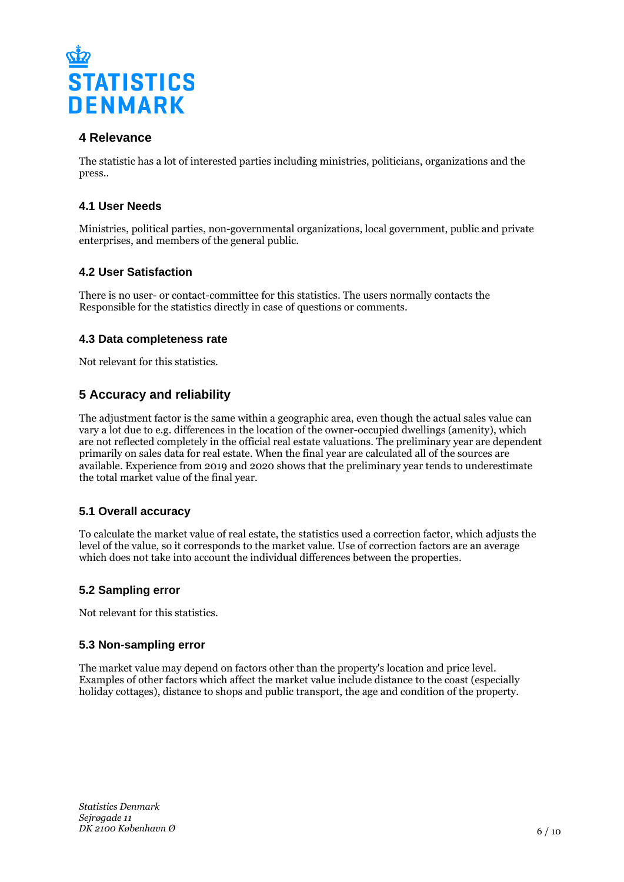

## **4 Relevance**

The statistic has a lot of interested parties including ministries, politicians, organizations and the press..

## **4.1 User Needs**

Ministries, political parties, non-governmental organizations, local government, public and private enterprises, and members of the general public.

## **4.2 User Satisfaction**

There is no user- or contact-committee for this statistics. The users normally contacts the Responsible for the statistics directly in case of questions or comments.

## **4.3 Data completeness rate**

Not relevant for this statistics.

## **5 Accuracy and reliability**

The adjustment factor is the same within a geographic area, even though the actual sales value can vary a lot due to e.g. differences in the location of the owner-occupied dwellings (amenity), which are not reflected completely in the official real estate valuations. The preliminary year are dependent primarily on sales data for real estate. When the final year are calculated all of the sources are available. Experience from 2019 and 2020 shows that the preliminary year tends to underestimate the total market value of the final year.

#### **5.1 Overall accuracy**

To calculate the market value of real estate, the statistics used a correction factor, which adjusts the level of the value, so it corresponds to the market value. Use of correction factors are an average which does not take into account the individual differences between the properties.

#### **5.2 Sampling error**

Not relevant for this statistics.

#### **5.3 Non-sampling error**

The market value may depend on factors other than the property's location and price level. Examples of other factors which affect the market value include distance to the coast (especially holiday cottages), distance to shops and public transport, the age and condition of the property.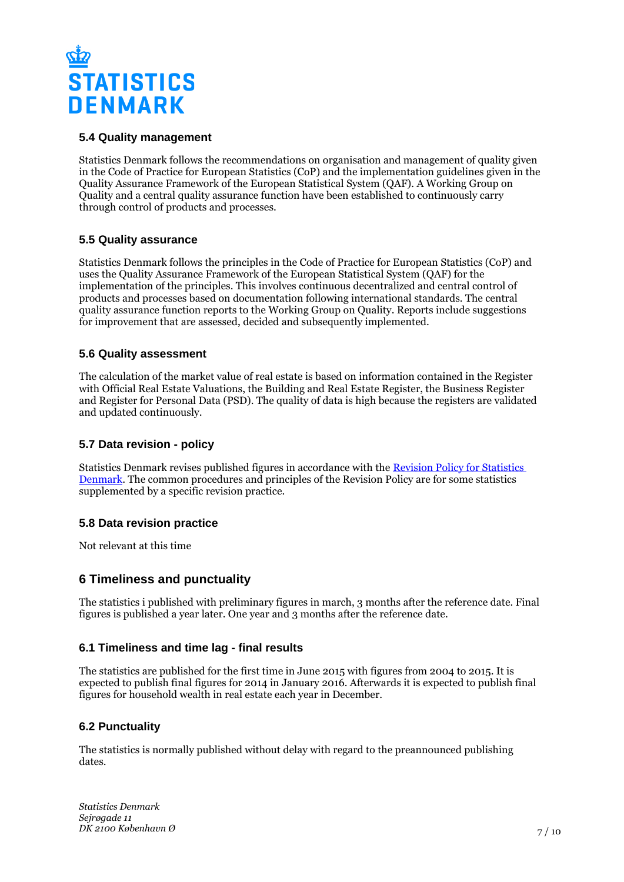

## **5.4 Quality management**

Statistics Denmark follows the recommendations on organisation and management of quality given in the Code of Practice for European Statistics (CoP) and the implementation guidelines given in the Quality Assurance Framework of the European Statistical System (QAF). A Working Group on Quality and a central quality assurance function have been established to continuously carry through control of products and processes.

#### **5.5 Quality assurance**

Statistics Denmark follows the principles in the Code of Practice for European Statistics (CoP) and uses the Quality Assurance Framework of the European Statistical System (QAF) for the implementation of the principles. This involves continuous decentralized and central control of products and processes based on documentation following international standards. The central quality assurance function reports to the Working Group on Quality. Reports include suggestions for improvement that are assessed, decided and subsequently implemented.

### **5.6 Quality assessment**

The calculation of the market value of real estate is based on information contained in the Register with Official Real Estate Valuations, the Building and Real Estate Register, the Business Register and Register for Personal Data (PSD). The quality of data is high because the registers are validated and updated continuously.

## **5.7 Data revision - policy**

Statistics Denmark revises published figures in accordance with the [Revision Policy for Statistics](https://www.dst.dk/en/OmDS/strategi-og-kvalitet/revisionspolitik.aspx)  [Denmark.](https://www.dst.dk/en/OmDS/strategi-og-kvalitet/revisionspolitik.aspx) The common procedures and principles of the Revision Policy are for some statistics supplemented by a specific revision practice.

#### **5.8 Data revision practice**

Not relevant at this time

## **6 Timeliness and punctuality**

The statistics i published with preliminary figures in march, 3 months after the reference date. Final figures is published a year later. One year and 3 months after the reference date.

## **6.1 Timeliness and time lag - final results**

The statistics are published for the first time in June 2015 with figures from 2004 to 2015. It is expected to publish final figures for 2014 in January 2016. Afterwards it is expected to publish final figures for household wealth in real estate each year in December.

## **6.2 Punctuality**

The statistics is normally published without delay with regard to the preannounced publishing dates.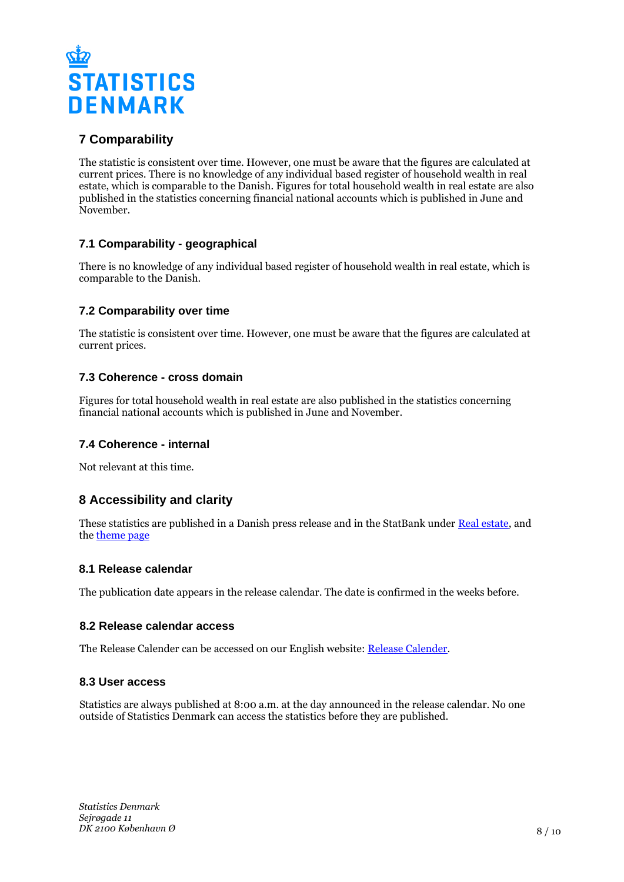

## **7 Comparability**

The statistic is consistent over time. However, one must be aware that the figures are calculated at current prices. There is no knowledge of any individual based register of household wealth in real estate, which is comparable to the Danish. Figures for total household wealth in real estate are also published in the statistics concerning financial national accounts which is published in June and November.

## **7.1 Comparability - geographical**

There is no knowledge of any individual based register of household wealth in real estate, which is comparable to the Danish.

## **7.2 Comparability over time**

The statistic is consistent over time. However, one must be aware that the figures are calculated at current prices.

## **7.3 Coherence - cross domain**

Figures for total household wealth in real estate are also published in the statistics concerning financial national accounts which is published in June and November.

## **7.4 Coherence - internal**

Not relevant at this time.

## **8 Accessibility and clarity**

These statistics are published in a Danish press release and in the StatBank under [Real estate](https://www.statbank.dk/10502), and the [theme page](https://www.dst.dk/en/Statistik/emner/arbejde-og-indkomst/formue/husholdningernes-formue-i-fast-ejendom)

#### **8.1 Release calendar**

The publication date appears in the release calendar. The date is confirmed in the weeks before.

#### **8.2 Release calendar access**

The Release Calender can be accessed on our English website: [Release Calender.](https://www.dst.dk/en/Statistik/offentliggoerelser.aspx)

#### **8.3 User access**

Statistics are always published at 8:00 a.m. at the day announced in the release calendar. No one outside of Statistics Denmark can access the statistics before they are published.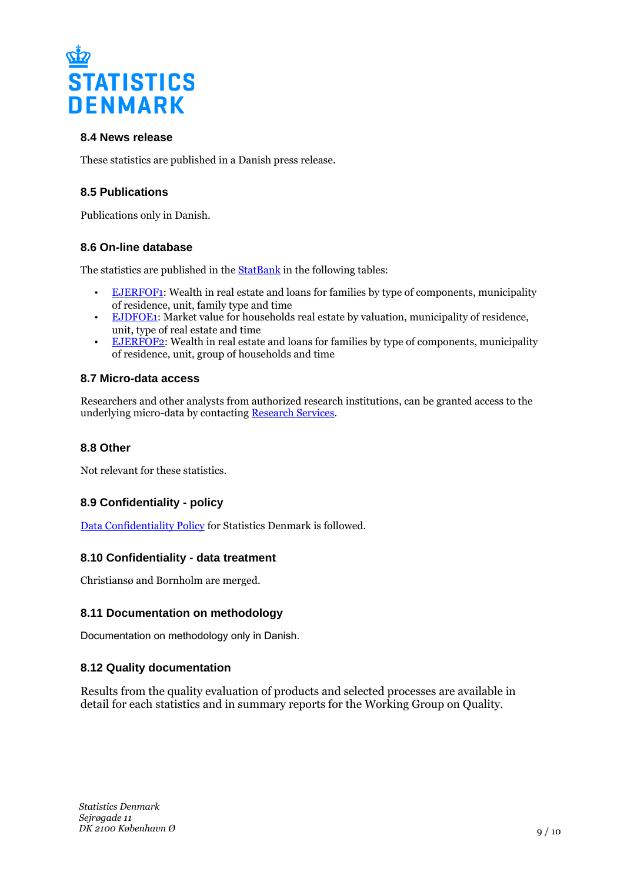

## **8.4 News release**

These statistics are published in a Danish press release.

## **8.5 Publications**

Publications only in Danish.

## **8.6 On-line database**

The statistics are published in the [StatBank](http://www.statbank.dk/10502) in the following tables:

- [EJERFOF1:](https://www.statbank.dk/EJERFOF1) Wealth in real estate and loans for families by type of components, municipality of residence, unit, family type and time
- [EJDFOE1](https://www.statbank.dk/EJDFOE1): Market value for households real estate by valuation, municipality of residence, unit, type of real estate and time
- **[EJERFOF2](https://www.statbank.dk/EJERFOF2):** Wealth in real estate and loans for families by type of components, municipality of residence, unit, group of households and time

## **8.7 Micro-data access**

Researchers and other analysts from authorized research institutions, can be granted access to the underlying micro-data by contacting [Research Services](http://www.dst.dk/en/TilSalg/Forskningsservice).

## **8.8 Other**

Not relevant for these statistics.

## **8.9 Confidentiality - policy**

[Data Confidentiality Policy](https://www.dst.dk/ext/502998790/0/formid/data-confidentiality-policy-at-statistics-denmark--pdf) for Statistics Denmark is followed.

## **8.10 Confidentiality - data treatment**

Christiansø and Bornholm are merged.

## **8.11 Documentation on methodology**

Documentation on methodology only in Danish.

## **8.12 Quality documentation**

Results from the quality evaluation of products and selected processes are available in detail for each statistics and in summary reports for the Working Group on Quality.